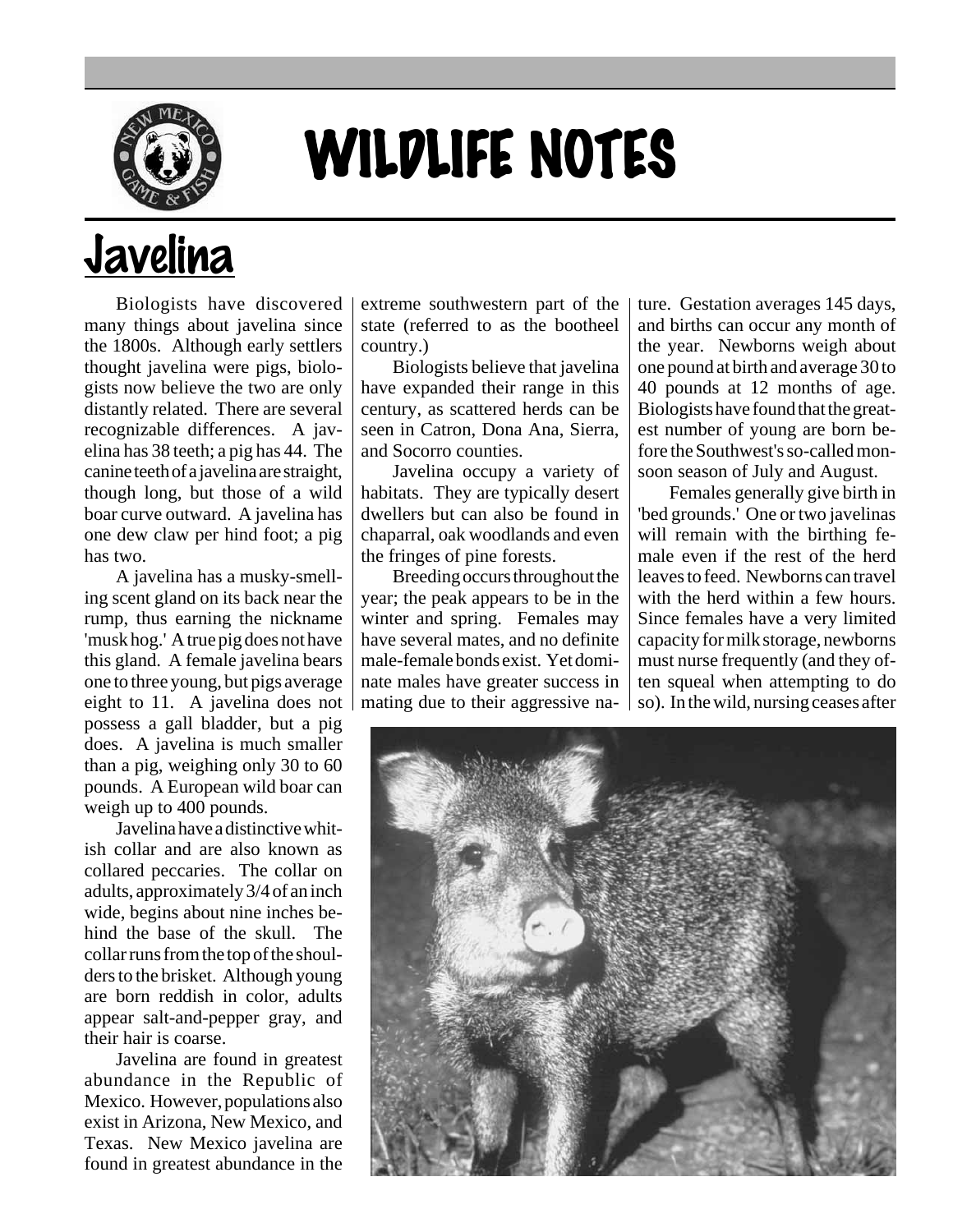

## WILDLIFE NOTES

## Javelina

Biologists have discovered many things about javelina since the 1800s. Although early settlers thought javelina were pigs, biologists now believe the two are only distantly related. There are several recognizable differences. A javelina has 38 teeth; a pig has 44. The canine teeth of a javelina are straight, though long, but those of a wild boar curve outward. A javelina has one dew claw per hind foot; a pig has two.

A javelina has a musky-smelling scent gland on its back near the rump, thus earning the nickname 'musk hog.' A true pig does not have this gland. A female javelina bears one to three young, but pigs average eight to 11. A javelina does not possess a gall bladder, but a pig does. A javelina is much smaller than a pig, weighing only 30 to 60 pounds. A European wild boar can weigh up to 400 pounds.

Javelina have a distinctive whitish collar and are also known as collared peccaries. The collar on adults, approximately 3/4 of an inch wide, begins about nine inches behind the base of the skull. The collar runs from the top of the shoulders to the brisket. Although young are born reddish in color, adults appear salt-and-pepper gray, and their hair is coarse.

Javelina are found in greatest abundance in the Republic of Mexico. However, populations also exist in Arizona, New Mexico, and Texas. New Mexico javelina are found in greatest abundance in the

extreme southwestern part of the state (referred to as the bootheel country.)

Biologists believe that javelina have expanded their range in this century, as scattered herds can be seen in Catron, Dona Ana, Sierra, and Socorro counties.

Javelina occupy a variety of habitats. They are typically desert dwellers but can also be found in chaparral, oak woodlands and even the fringes of pine forests.

Breeding occurs throughout the year; the peak appears to be in the winter and spring. Females may have several mates, and no definite male-female bonds exist. Yet dominate males have greater success in mating due to their aggressive na-

ture. Gestation averages 145 days, and births can occur any month of the year. Newborns weigh about one pound at birth and average 30 to 40 pounds at 12 months of age. Biologists have found that the greatest number of young are born before the Southwest's so-called monsoon season of July and August.

Females generally give birth in 'bed grounds.' One or two javelinas will remain with the birthing female even if the rest of the herd leaves to feed. Newborns can travel with the herd within a few hours. Since females have a very limited capacity for milk storage, newborns must nurse frequently (and they often squeal when attempting to do so). In the wild, nursing ceases after